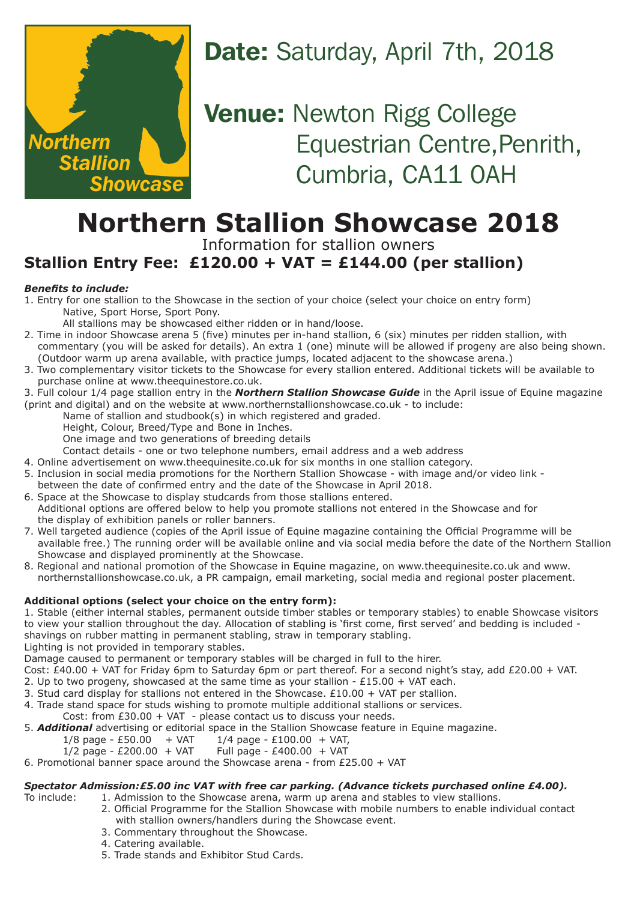

## Date: Saturday, April 7th, 2018

**Venue: Newton Rigg College** Equestrian Centre, Penrith, Cumbria, CA11 0AH

## **Northern Stallion Showcase 2018**

Information for stallion owners

### **Stallion Entry Fee: £120.00 + VAT = £144.00 (per stallion)**

#### *Benefits to include:*

- 1. Entry for one stallion to the Showcase in the section of your choice (select your choice on entry form) Native, Sport Horse, Sport Pony.
	- All stallions may be showcased either ridden or in hand/loose.
- 2. Time in indoor Showcase arena 5 (five) minutes per in-hand stallion, 6 (six) minutes per ridden stallion, with commentary (you will be asked for details). An extra 1 (one) minute will be allowed if progeny are also being shown. (Outdoor warm up arena available, with practice jumps, located adjacent to the showcase arena.)
- 3. Two complementary visitor tickets to the Showcase for every stallion entered. Additional tickets will be available to purchase online at www.theequinestore.co.uk.

3. Full colour 1/4 page stallion entry in the *Northern Stallion Showcase Guide* in the April issue of Equine magazine (print and digital) and on the website at www.northernstallionshowcase.co.uk - to include:

- Name of stallion and studbook(s) in which registered and graded.
	- Height, Colour, Breed/Type and Bone in Inches.
	- One image and two generations of breeding details

Contact details - one or two telephone numbers, email address and a web address

- 4. Online advertisement on www.theequinesite.co.uk for six months in one stallion category.
- 5. Inclusion in social media promotions for the Northern Stallion Showcase with image and/or video link between the date of confirmed entry and the date of the Showcase in April 2018.
- 6. Space at the Showcase to display studcards from those stallions entered. Additional options are offered below to help you promote stallions not entered in the Showcase and for the display of exhibition panels or roller banners.
- 7. Well targeted audience (copies of the April issue of Equine magazine containing the Official Programme will be available free.) The running order will be available online and via social media before the date of the Northern Stallion Showcase and displayed prominently at the Showcase.
- 8. Regional and national promotion of the Showcase in Equine magazine, on www.theequinesite.co.uk and www. northernstallionshowcase.co.uk, a PR campaign, email marketing, social media and regional poster placement.

#### **Additional options (select your choice on the entry form):**

1. Stable (either internal stables, permanent outside timber stables or temporary stables) to enable Showcase visitors to view your stallion throughout the day. Allocation of stabling is 'first come, first served' and bedding is included shavings on rubber matting in permanent stabling, straw in temporary stabling.

Lighting is not provided in temporary stables.

Damage caused to permanent or temporary stables will be charged in full to the hirer.

- Cost: £40.00 + VAT for Friday 6pm to Saturday 6pm or part thereof. For a second night's stay, add £20.00 + VAT.
- 2. Up to two progeny, showcased at the same time as your stallion  $£15.00 + VAT$  each.
- 3. Stud card display for stallions not entered in the Showcase.  $£10.00 + VAT$  per stallion.

4. Trade stand space for studs wishing to promote multiple additional stallions or services.

Cost: from  $£30.00 + VAT - please contact us to discuss your needs.$ 

5. *Additional* advertising or editorial space in the Stallion Showcase feature in Equine magazine.

- $1/8$  page £50.00 + VAT  $1/4$  page £100.00 + VAT,
- $1/2$  page £200.00 + VAT Full page £400.00 + VAT

#### 6. Promotional banner space around the Showcase arena - from £25.00 + VAT

### *Spectator Admission:£5.00 inc VAT with free car parking. (Advance tickets purchased online £4.00).*<br>To include: <br>*1.* Admission to the Showcase arena, warm up arena and stables to view stallions.

1. Admission to the Showcase arena, warm up arena and stables to view stallions.

- 2. Official Programme for the Stallion Showcase with mobile numbers to enable individual contact with stallion owners/handlers during the Showcase event.
- 3. Commentary throughout the Showcase.
- 4. Catering available.
- 5. Trade stands and Exhibitor Stud Cards.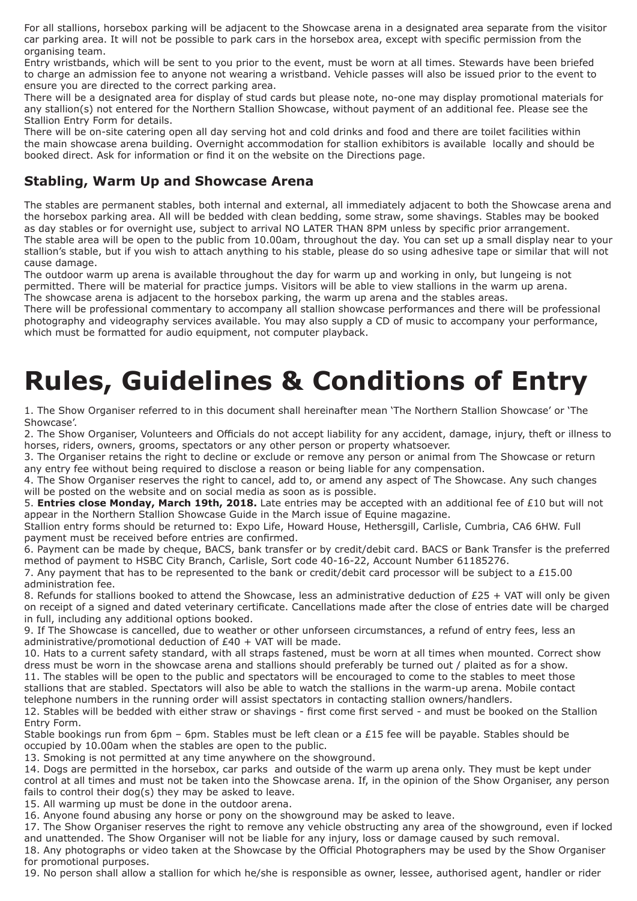For all stallions, horsebox parking will be adjacent to the Showcase arena in a designated area separate from the visitor car parking area. It will not be possible to park cars in the horsebox area, except with specific permission from the organising team.

Entry wristbands, which will be sent to you prior to the event, must be worn at all times. Stewards have been briefed to charge an admission fee to anyone not wearing a wristband. Vehicle passes will also be issued prior to the event to ensure you are directed to the correct parking area.

There will be a designated area for display of stud cards but please note, no-one may display promotional materials for any stallion(s) not entered for the Northern Stallion Showcase, without payment of an additional fee. Please see the Stallion Entry Form for details.

There will be on-site catering open all day serving hot and cold drinks and food and there are toilet facilities within the main showcase arena building. Overnight accommodation for stallion exhibitors is available locally and should be booked direct. Ask for information or find it on the website on the Directions page.

#### **Stabling, Warm Up and Showcase Arena**

The stables are permanent stables, both internal and external, all immediately adjacent to both the Showcase arena and the horsebox parking area. All will be bedded with clean bedding, some straw, some shavings. Stables may be booked as day stables or for overnight use, subject to arrival NO LATER THAN 8PM unless by specific prior arrangement. The stable area will be open to the public from 10.00am, throughout the day. You can set up a small display near to your stallion's stable, but if you wish to attach anything to his stable, please do so using adhesive tape or similar that will not cause damage.

The outdoor warm up arena is available throughout the day for warm up and working in only, but lungeing is not permitted. There will be material for practice jumps. Visitors will be able to view stallions in the warm up arena. The showcase arena is adjacent to the horsebox parking, the warm up arena and the stables areas.

There will be professional commentary to accompany all stallion showcase performances and there will be professional photography and videography services available. You may also supply a CD of music to accompany your performance, which must be formatted for audio equipment, not computer playback.

# **Rules, Guidelines & Conditions of Entry**

1. The Show Organiser referred to in this document shall hereinafter mean 'The Northern Stallion Showcase' or 'The Showcase'.

2. The Show Organiser, Volunteers and Officials do not accept liability for any accident, damage, injury, theft or illness to horses, riders, owners, grooms, spectators or any other person or property whatsoever.

3. The Organiser retains the right to decline or exclude or remove any person or animal from The Showcase or return any entry fee without being required to disclose a reason or being liable for any compensation.

4. The Show Organiser reserves the right to cancel, add to, or amend any aspect of The Showcase. Any such changes will be posted on the website and on social media as soon as is possible.

5. **Entries close Monday, March 19th, 2018.** Late entries may be accepted with an additional fee of £10 but will not appear in the Northern Stallion Showcase Guide in the March issue of Equine magazine.

Stallion entry forms should be returned to: Expo Life, Howard House, Hethersgill, Carlisle, Cumbria, CA6 6HW. Full payment must be received before entries are confirmed.

6. Payment can be made by cheque, BACS, bank transfer or by credit/debit card. BACS or Bank Transfer is the preferred method of payment to HSBC City Branch, Carlisle, Sort code 40-16-22, Account Number 61185276.

7. Any payment that has to be represented to the bank or credit/debit card processor will be subject to a £15.00 administration fee.

8. Refunds for stallions booked to attend the Showcase, less an administrative deduction of  $E25 + VAT$  will only be given on receipt of a signed and dated veterinary certificate. Cancellations made after the close of entries date will be charged in full, including any additional options booked.

9. If The Showcase is cancelled, due to weather or other unforseen circumstances, a refund of entry fees, less an administrative/promotional deduction of £40 + VAT will be made.

10. Hats to a current safety standard, with all straps fastened, must be worn at all times when mounted. Correct show dress must be worn in the showcase arena and stallions should preferably be turned out / plaited as for a show.

11. The stables will be open to the public and spectators will be encouraged to come to the stables to meet those stallions that are stabled. Spectators will also be able to watch the stallions in the warm-up arena. Mobile contact telephone numbers in the running order will assist spectators in contacting stallion owners/handlers.

12. Stables will be bedded with either straw or shavings - first come first served - and must be booked on the Stallion Entry Form.

Stable bookings run from 6pm – 6pm. Stables must be left clean or a £15 fee will be payable. Stables should be occupied by 10.00am when the stables are open to the public.

13. Smoking is not permitted at any time anywhere on the showground.

14. Dogs are permitted in the horsebox, car parks and outside of the warm up arena only. They must be kept under control at all times and must not be taken into the Showcase arena. If, in the opinion of the Show Organiser, any person fails to control their dog(s) they may be asked to leave.

15. All warming up must be done in the outdoor arena.

16. Anyone found abusing any horse or pony on the showground may be asked to leave.

17. The Show Organiser reserves the right to remove any vehicle obstructing any area of the showground, even if locked and unattended. The Show Organiser will not be liable for any injury, loss or damage caused by such removal.

18. Any photographs or video taken at the Showcase by the Official Photographers may be used by the Show Organiser for promotional purposes.

19. No person shall allow a stallion for which he/she is responsible as owner, lessee, authorised agent, handler or rider